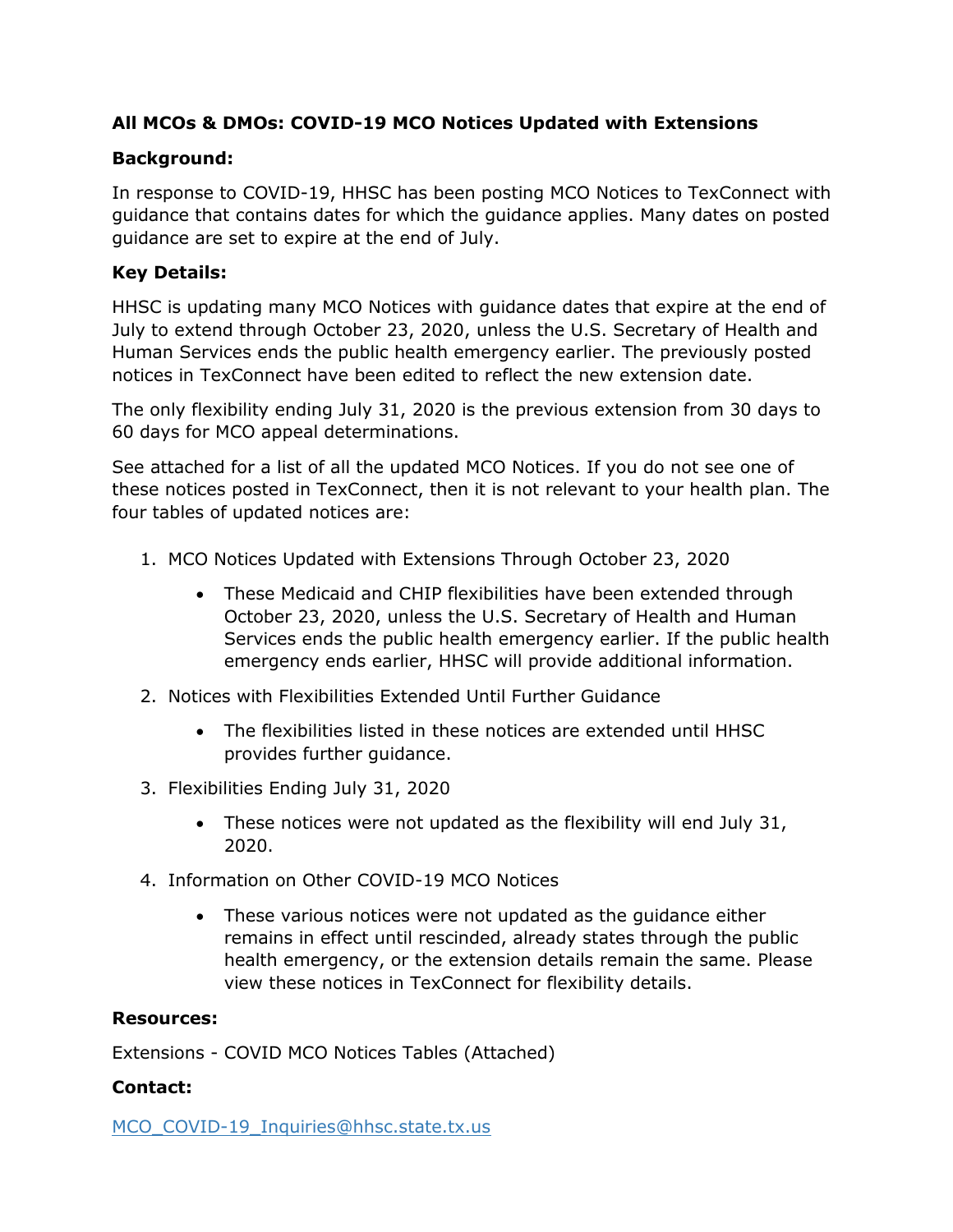#### **All MCOs & DMOs: COVID-19 MCO Notices Updated with Extensions**

#### **Background:**

In response to COVID-19, HHSC has been posting MCO Notices to TexConnect with guidance that contains dates for which the guidance applies. Many dates on posted guidance are set to expire at the end of July.

### **Key Details:**

HHSC is updating many MCO Notices with guidance dates that expire at the end of July to extend through October 23, 2020, unless the U.S. Secretary of Health and Human Services ends the public health emergency earlier. The previously posted notices in TexConnect have been edited to reflect the new extension date.

The only flexibility ending July 31, 2020 is the previous extension from 30 days to 60 days for MCO appeal determinations.

See attached for a list of all the updated MCO Notices. If you do not see one of these notices posted in TexConnect, then it is not relevant to your health plan. The four tables of updated notices are:

- 1. MCO Notices Updated with Extensions Through October 23, 2020
	- These Medicaid and CHIP flexibilities have been extended through October 23, 2020, unless the U.S. Secretary of Health and Human Services ends the public health emergency earlier. If the public health emergency ends earlier, HHSC will provide additional information.
- 2. Notices with Flexibilities Extended Until Further Guidance
	- The flexibilities listed in these notices are extended until HHSC provides further guidance.
- 3. Flexibilities Ending July 31, 2020
	- These notices were not updated as the flexibility will end July 31, 2020.
- 4. Information on Other COVID-19 MCO Notices
	- These various notices were not updated as the guidance either remains in effect until rescinded, already states through the public health emergency, or the extension details remain the same. Please view these notices in TexConnect for flexibility details.

#### **Resources:**

Extensions - COVID MCO Notices Tables (Attached)

#### **Contact:**

[MCO\\_COVID-19\\_Inquiries@hhsc.state.tx.us](mailto:MCO_COVID-19_Inquiries@hhsc.state.tx.us)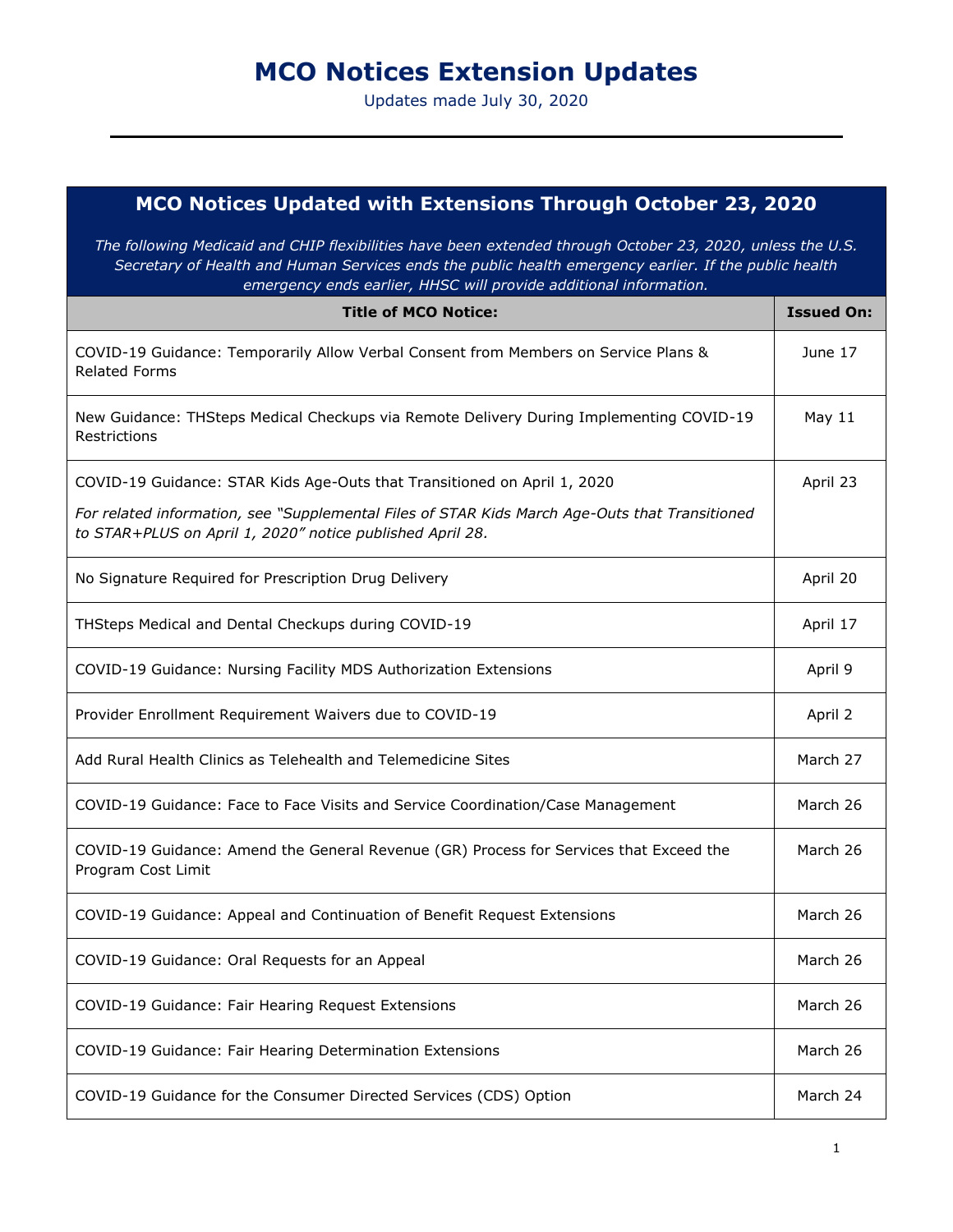# **MCO Notices Extension Updates**

Updates made July 30, 2020

| MCO Notices Updated with Extensions Through October 23, 2020<br>The following Medicaid and CHIP flexibilities have been extended through October 23, 2020, unless the U.S.<br>Secretary of Health and Human Services ends the public health emergency earlier. If the public health<br>emergency ends earlier, HHSC will provide additional information. |          |
|----------------------------------------------------------------------------------------------------------------------------------------------------------------------------------------------------------------------------------------------------------------------------------------------------------------------------------------------------------|----------|
|                                                                                                                                                                                                                                                                                                                                                          |          |
| COVID-19 Guidance: Temporarily Allow Verbal Consent from Members on Service Plans &<br><b>Related Forms</b>                                                                                                                                                                                                                                              | June 17  |
| New Guidance: THSteps Medical Checkups via Remote Delivery During Implementing COVID-19<br>Restrictions                                                                                                                                                                                                                                                  | May 11   |
| COVID-19 Guidance: STAR Kids Age-Outs that Transitioned on April 1, 2020                                                                                                                                                                                                                                                                                 | April 23 |
| For related information, see "Supplemental Files of STAR Kids March Age-Outs that Transitioned<br>to STAR+PLUS on April 1, 2020" notice published April 28.                                                                                                                                                                                              |          |
| No Signature Required for Prescription Drug Delivery                                                                                                                                                                                                                                                                                                     | April 20 |
| THSteps Medical and Dental Checkups during COVID-19                                                                                                                                                                                                                                                                                                      | April 17 |
| COVID-19 Guidance: Nursing Facility MDS Authorization Extensions                                                                                                                                                                                                                                                                                         | April 9  |
| Provider Enrollment Requirement Waivers due to COVID-19                                                                                                                                                                                                                                                                                                  | April 2  |
| Add Rural Health Clinics as Telehealth and Telemedicine Sites                                                                                                                                                                                                                                                                                            | March 27 |
| COVID-19 Guidance: Face to Face Visits and Service Coordination/Case Management                                                                                                                                                                                                                                                                          | March 26 |
| COVID-19 Guidance: Amend the General Revenue (GR) Process for Services that Exceed the<br>Program Cost Limit                                                                                                                                                                                                                                             | March 26 |
| COVID-19 Guidance: Appeal and Continuation of Benefit Request Extensions                                                                                                                                                                                                                                                                                 | March 26 |
| COVID-19 Guidance: Oral Requests for an Appeal                                                                                                                                                                                                                                                                                                           | March 26 |
| COVID-19 Guidance: Fair Hearing Request Extensions                                                                                                                                                                                                                                                                                                       | March 26 |
| COVID-19 Guidance: Fair Hearing Determination Extensions                                                                                                                                                                                                                                                                                                 | March 26 |
| COVID-19 Guidance for the Consumer Directed Services (CDS) Option                                                                                                                                                                                                                                                                                        | March 24 |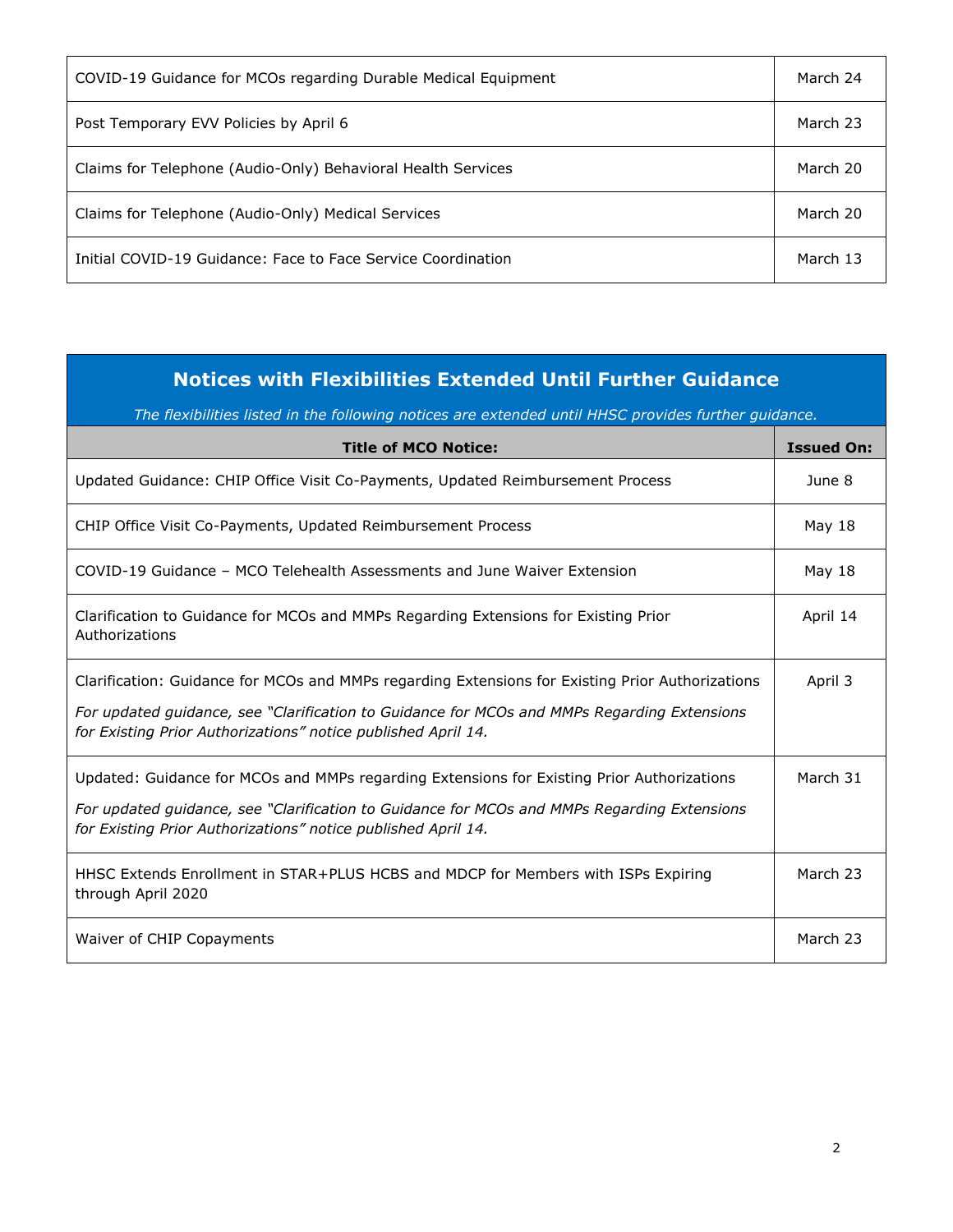| COVID-19 Guidance for MCOs regarding Durable Medical Equipment | March 24 |
|----------------------------------------------------------------|----------|
| Post Temporary EVV Policies by April 6                         | March 23 |
| Claims for Telephone (Audio-Only) Behavioral Health Services   | March 20 |
| Claims for Telephone (Audio-Only) Medical Services             | March 20 |
| Initial COVID-19 Guidance: Face to Face Service Coordination   | March 13 |

## **Notices with Flexibilities Extended Until Further Guidance**

*The flexibilities listed in the following notices are extended until HHSC provides further guidance.* 

| <b>Title of MCO Notice:</b>                                                                                                                                                                                                                                      | <b>Issued On:</b> |
|------------------------------------------------------------------------------------------------------------------------------------------------------------------------------------------------------------------------------------------------------------------|-------------------|
| Updated Guidance: CHIP Office Visit Co-Payments, Updated Reimbursement Process                                                                                                                                                                                   | June 8            |
| CHIP Office Visit Co-Payments, Updated Reimbursement Process                                                                                                                                                                                                     | May 18            |
| COVID-19 Guidance – MCO Telehealth Assessments and June Waiver Extension                                                                                                                                                                                         | May 18            |
| Clarification to Guidance for MCOs and MMPs Regarding Extensions for Existing Prior<br>Authorizations                                                                                                                                                            | April 14          |
| Clarification: Guidance for MCOs and MMPs regarding Extensions for Existing Prior Authorizations<br>For updated guidance, see "Clarification to Guidance for MCOs and MMPs Regarding Extensions<br>for Existing Prior Authorizations" notice published April 14. | April 3           |
| Updated: Guidance for MCOs and MMPs regarding Extensions for Existing Prior Authorizations<br>For updated guidance, see "Clarification to Guidance for MCOs and MMPs Regarding Extensions<br>for Existing Prior Authorizations" notice published April 14.       | March 31          |
| HHSC Extends Enrollment in STAR+PLUS HCBS and MDCP for Members with ISPs Expiring<br>through April 2020                                                                                                                                                          | March 23          |
| Waiver of CHIP Copayments                                                                                                                                                                                                                                        | March 23          |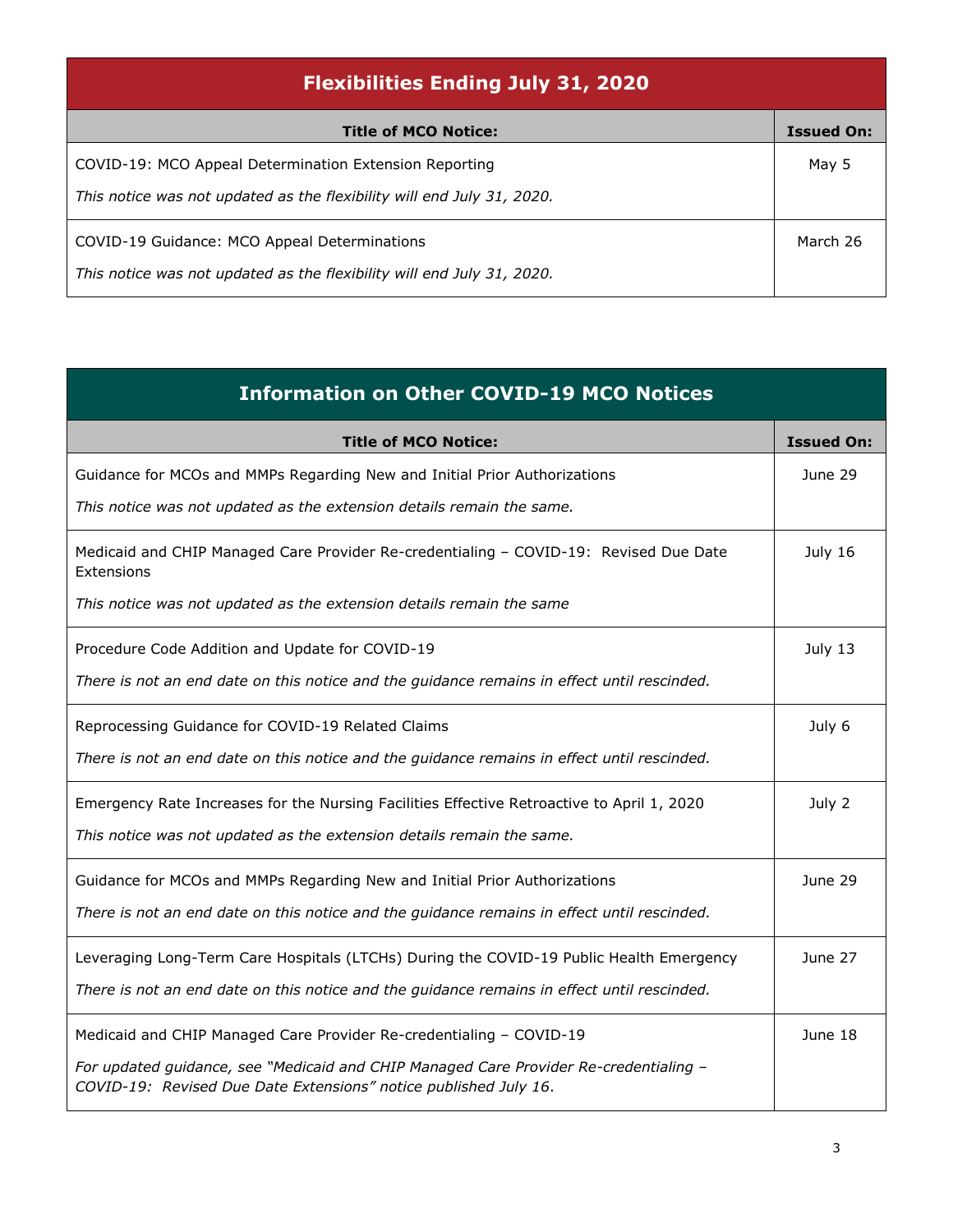| <b>Flexibilities Ending July 31, 2020</b>                              |                   |
|------------------------------------------------------------------------|-------------------|
| <b>Title of MCO Notice:</b>                                            | <b>Issued On:</b> |
| COVID-19: MCO Appeal Determination Extension Reporting                 | May 5             |
| This notice was not updated as the flexibility will end July 31, 2020. |                   |
| COVID-19 Guidance: MCO Appeal Determinations                           | March 26          |
| This notice was not updated as the flexibility will end July 31, 2020. |                   |

| <b>Information on Other COVID-19 MCO Notices</b>                                                                                                          |                   |
|-----------------------------------------------------------------------------------------------------------------------------------------------------------|-------------------|
| <b>Title of MCO Notice:</b>                                                                                                                               | <b>Issued On:</b> |
| Guidance for MCOs and MMPs Regarding New and Initial Prior Authorizations                                                                                 | June 29           |
| This notice was not updated as the extension details remain the same.                                                                                     |                   |
| Medicaid and CHIP Managed Care Provider Re-credentialing - COVID-19: Revised Due Date<br>Extensions                                                       | July 16           |
| This notice was not updated as the extension details remain the same                                                                                      |                   |
| Procedure Code Addition and Update for COVID-19                                                                                                           | July 13           |
| There is not an end date on this notice and the guidance remains in effect until rescinded.                                                               |                   |
| Reprocessing Guidance for COVID-19 Related Claims                                                                                                         | July 6            |
| There is not an end date on this notice and the guidance remains in effect until rescinded.                                                               |                   |
| Emergency Rate Increases for the Nursing Facilities Effective Retroactive to April 1, 2020                                                                | July 2            |
| This notice was not updated as the extension details remain the same.                                                                                     |                   |
| Guidance for MCOs and MMPs Regarding New and Initial Prior Authorizations                                                                                 | June 29           |
| There is not an end date on this notice and the guidance remains in effect until rescinded.                                                               |                   |
| Leveraging Long-Term Care Hospitals (LTCHs) During the COVID-19 Public Health Emergency                                                                   | June 27           |
| There is not an end date on this notice and the guidance remains in effect until rescinded.                                                               |                   |
| Medicaid and CHIP Managed Care Provider Re-credentialing - COVID-19                                                                                       | June 18           |
| For updated guidance, see "Medicaid and CHIP Managed Care Provider Re-credentialing -<br>COVID-19: Revised Due Date Extensions" notice published July 16. |                   |